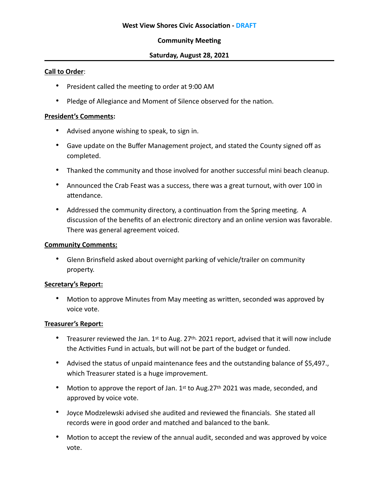# **Community Meeting**

### **Saturday, August 28, 2021**

### **Call to Order**:

- President called the meeting to order at 9:00 AM
- Pledge of Allegiance and Moment of Silence observed for the nation.

### **President's Comments:**

- Advised anyone wishing to speak, to sign in.
- Gave update on the Buffer Management project, and stated the County signed off as completed.
- Thanked the community and those involved for another successful mini beach cleanup.
- Announced the Crab Feast was a success, there was a great turnout, with over 100 in attendance.
- Addressed the community directory, a continuation from the Spring meeting. A discussion of the benefits of an electronic directory and an online version was favorable. There was general agreement voiced.

#### **Community Comments:**

• Glenn Brinsfield asked about overnight parking of vehicle/trailer on community property.

### **Secretary's Report:**

• Motion to approve Minutes from May meeting as written, seconded was approved by voice vote.

### **Treasurer's Report:**

- Treasurer reviewed the Jan. 1st to Aug. 27<sup>th,</sup> 2021 report, advised that it will now include the Activities Fund in actuals, but will not be part of the budget or funded.
- Advised the status of unpaid maintenance fees and the outstanding balance of \$5,497., which Treasurer stated is a huge improvement.
- Motion to approve the report of Jan.  $1<sup>st</sup>$  to Aug. 27<sup>th</sup> 2021 was made, seconded, and approved by voice vote.
- Joyce Modzelewski advised she audited and reviewed the financials. She stated all records were in good order and matched and balanced to the bank.
- Motion to accept the review of the annual audit, seconded and was approved by voice vote.